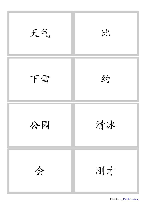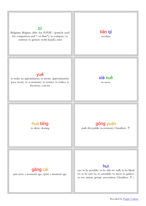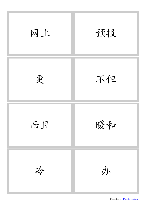

Provided by [Purple Culture](http://www.purpleculture.net)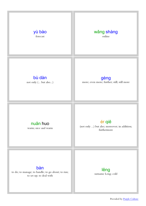

Provided by [Purple Culture](http://www.purpleculture.net)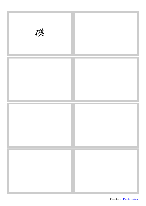